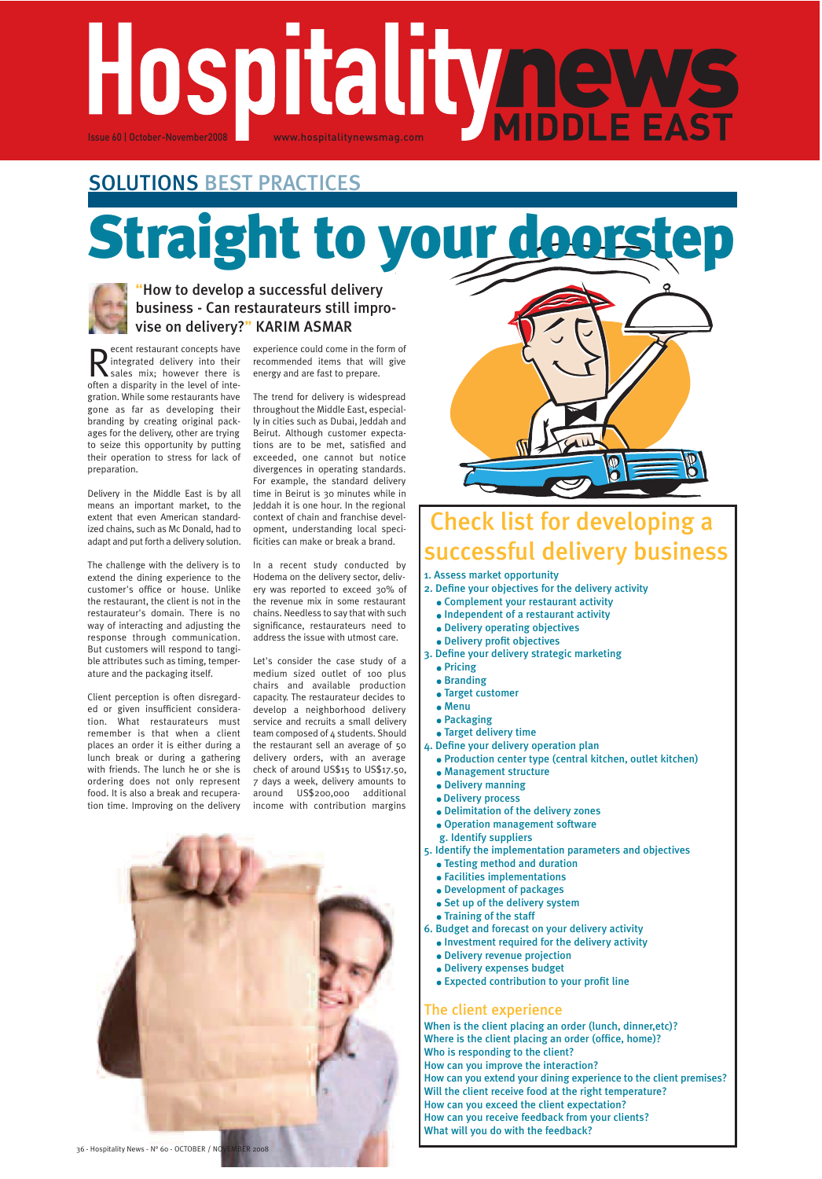# Hospitalitynews

# SOLUTIONS BEST PRACTICES

# **Straight to your doors**



# "How to develop a successful delivery business - Can restaurateurs still improvise on delivery?" KARIM ASMAR

R ecent restaurant concepts have<br>
sales mix; however there is<br>
sales mix; however there is ecent restaurant concepts have integrated delivery into their often a disparity in the level of integration. While some restaurants have gone as far as developing their branding by creating original packages for the delivery, other are trying to seize this opportunity by putting their operation to stress for lack of preparation.

Delivery in the Middle East is by all means an important market, to the extent that even American standardized chains, such as Mc Donald, had to adapt and put forth a delivery solution.

The challenge with the delivery is to extend the dining experience to the customer's office or house. Unlike the restaurant, the client is not in the restaurateur's domain. There is no way of interacting and adjusting the response through communication. But customers will respond to tangible attributes such as timing, temperature and the packaging itself.

Client perception is often disregarded or given insufficient consideration. What restaurateurs must remember is that when a client places an order it is either during a lunch break or during a gathering with friends. The lunch he or she is ordering does not only represent food. It is also a break and recuperation time. Improving on the delivery

experience could come in the form of recommended items that will give energy and are fast to prepare.

The trend for delivery is widespread throughout the Middle East, especially in cities such as Dubai, Jeddah and Beirut. Although customer expectations are to be met, satisfied and exceeded, one cannot but notice divergences in operating standards. For example, the standard delivery time in Beirut is 30 minutes while in Jeddah it is one hour. In the regional context of chain and franchise development, understanding local specificities can make or break a brand.

In a recent study conducted by Hodema on the delivery sector, delivery was reported to exceed 30% of the revenue mix in some restaurant chains. Needless to say that with such significance, restaurateurs need to address the issue with utmost care.

Let's consider the case study of a medium sized outlet of 100 plus chairs and available production capacity. The restaurateur decides to develop a neighborhood delivery service and recruits a small delivery team composed of 4 students. Should the restaurant sell an average of 50 delivery orders, with an average check of around US\$15 to US\$17.50, 7 days a week, delivery amounts to around US\$200,000 additional income with contribution margins



# eck list for developing a successful delivery business

1. Assess market opportunity

- 2. Define your objectives for the delivery activity
	- Complement your restaurant activity
	- Independent of a restaurant activity
	- Delivery operating objectives
- Delivery profit objectives 3. Define your delivery strategic marketing
	- Pricing
	- **•** Branding
	- Target customer
	- Menu
	- Packaging
	- Target delivery time
- 4. Define your delivery operation plan
	- Production center type (central kitchen, outlet kitchen)
	- Management structure
	- Delivery manning
	- Delivery process
	- Delimitation of the delivery zones
	- Operation management software
- g. Identify suppliers
- 5. Identify the implementation parameters and objectives
	- Testing method and duration
	- Facilities implementations
	- Development of packages
	- Set up of the delivery system
	- Training of the staff
- 6. Budget and forecast on your delivery activity
	- $\bullet$  Investment required for the delivery activity
	- Delivery revenue projection
	- Delivery expenses budget
	- Expected contribution to your profit line

# The client experience

When is the client placing an order (lunch, dinner,etc)? Where is the client placing an order (office, home)? Who is responding to the client? How can you improve the interaction? How can you extend your dining experience to the client premises? Will the client receive food at the right temperature? How can you exceed the client expectation? How can you receive feedback from your clients? What will you do with the feedback?